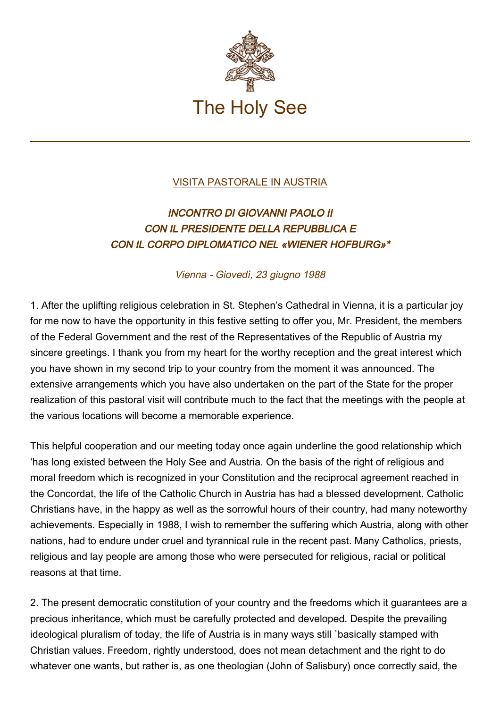

## [VISITA PASTORALE IN AUSTRIA](https://www.vatican.va/content/john-paul-ii/it/travels/sub_index1988/trav_austria.html)

## INCONTRO DI GIOVANNI PAOLO II CON IL PRESIDENTE DELLA REPUBBLICA E CON IL CORPO DIPLOMATICO NEL «WIENER HOFBURG»\*

Vienna - Giovedì, 23 giugno 1988

1. After the uplifting religious celebration in St. Stephen's Cathedral in Vienna, it is a particular joy for me now to have the opportunity in this festive setting to offer you, Mr. President, the members of the Federal Government and the rest of the Representatives of the Republic of Austria my sincere greetings. I thank you from my heart for the worthy reception and the great interest which you have shown in my second trip to your country from the moment it was announced. The extensive arrangements which you have also undertaken on the part of the State for the proper realization of this pastoral visit will contribute much to the fact that the meetings with the people at the various locations will become a memorable experience.

This helpful cooperation and our meeting today once again underline the good relationship which 'has long existed between the Holy See and Austria. On the basis of the right of religious and moral freedom which is recognized in your Constitution and the reciprocal agreement reached in the Concordat, the life of the Catholic Church in Austria has had a blessed development. Catholic Christians have, in the happy as well as the sorrowful hours of their country, had many noteworthy achievements. Especially in 1988, I wish to remember the suffering which Austria, along with other nations, had to endure under cruel and tyrannical rule in the recent past. Many Catholics, priests, religious and lay people are among those who were persecuted for religious, racial or political reasons at that time.

2. The present democratic constitution of your country and the freedoms which it guarantees are a precious inheritance, which must be carefully protected and developed. Despite the prevailing ideological pluralism of today, the life of Austria is in many ways still `basically stamped with Christian values. Freedom, rightly understood, does not mean detachment and the right to do whatever one wants, but rather is, as one theologian (John of Salisbury) once correctly said, the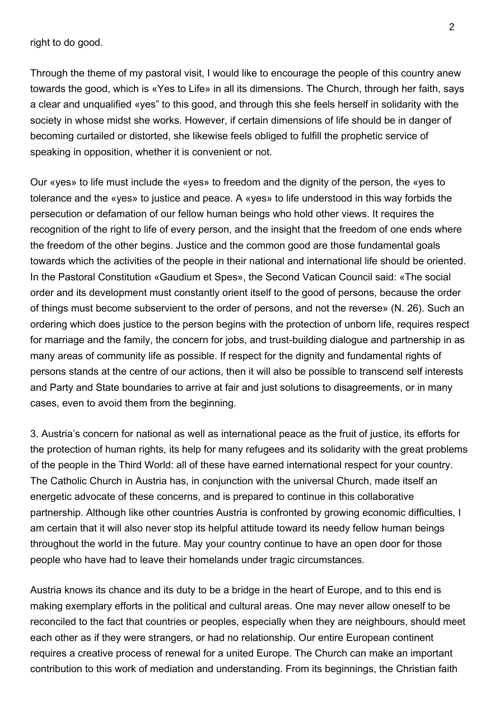right to do good.

Through the theme of my pastoral visit, I would like to encourage the people of this country anew towards the good, which is «Yes to Life» in all its dimensions. The Church, through her faith, says a clear and unqualified «yes" to this good, and through this she feels herself in solidarity with the society in whose midst she works. However, if certain dimensions of life should be in danger of becoming curtailed or distorted, she likewise feels obliged to fulfill the prophetic service of speaking in opposition, whether it is convenient or not.

Our «yes» to life must include the «yes» to freedom and the dignity of the person, the «yes to tolerance and the «yes» to justice and peace. A «yes» to life understood in this way forbids the persecution or defamation of our fellow human beings who hold other views. It requires the recognition of the right to life of every person, and the insight that the freedom of one ends where the freedom of the other begins. Justice and the common good are those fundamental goals towards which the activities of the people in their national and international life should be oriented. In the Pastoral Constitution «Gaudium et Spes», the Second Vatican Council said: «The social order and its development must constantly orient itself to the good of persons, because the order of things must become subservient to the order of persons, and not the reverse» (N. 26). Such an ordering which does justice to the person begins with the protection of unborn life, requires respect for marriage and the family, the concern for jobs, and trust-building dialogue and partnership in as many areas of community life as possible. If respect for the dignity and fundamental rights of persons stands at the centre of our actions, then it will also be possible to transcend self interests and Party and State boundaries to arrive at fair and just solutions to disagreements, or in many cases, even to avoid them from the beginning.

3. Austria's concern for national as well as international peace as the fruit of justice, its efforts for the protection of human rights, its help for many refugees and its solidarity with the great problems of the people in the Third World: all of these have earned international respect for your country. The Catholic Church in Austria has, in conjunction with the universal Church, made itself an energetic advocate of these concerns, and is prepared to continue in this collaborative partnership. Although like other countries Austria is confronted by growing economic difficulties, I am certain that it will also never stop its helpful attitude toward its needy fellow human beings throughout the world in the future. May your country continue to have an open door for those people who have had to leave their homelands under tragic circumstances.

Austria knows its chance and its duty to be a bridge in the heart of Europe, and to this end is making exemplary efforts in the political and cultural areas. One may never allow oneself to be reconciled to the fact that countries or peoples, especially when they are neighbours, should meet each other as if they were strangers, or had no relationship. Our entire European continent requires a creative process of renewal for a united Europe. The Church can make an important contribution to this work of mediation and understanding. From its beginnings, the Christian faith